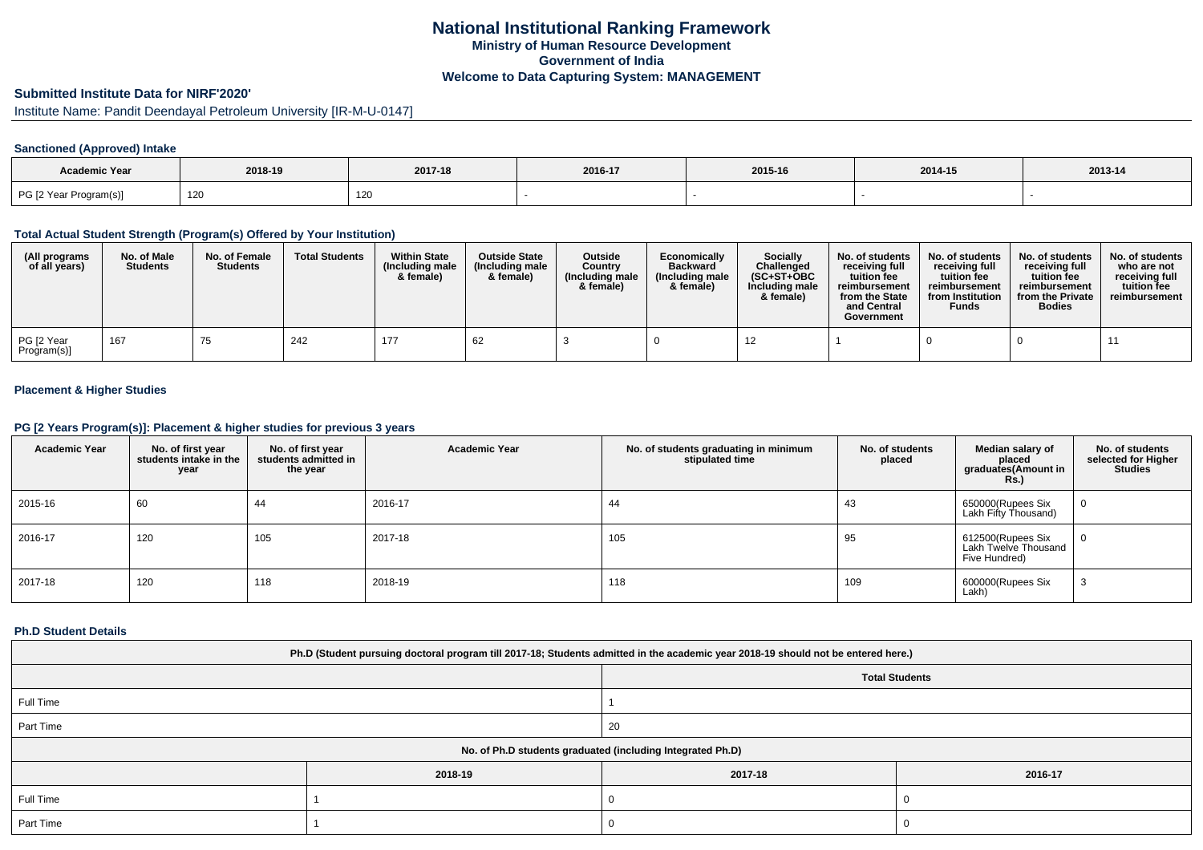# **Submitted Institute Data for NIRF'2020'**

# Institute Name: Pandit Deendayal Petroleum University [IR-M-U-0147]

### **Sanctioned (Approved) Intake**

| Academic Year          |         |         |         |         |         |         |
|------------------------|---------|---------|---------|---------|---------|---------|
|                        | 2018-19 | 2017-18 | 2016-17 | 2015-16 | 2014-15 | 2013-14 |
| PG [2 Year Program(s)] | 120     | 120     |         |         |         |         |

#### **Total Actual Student Strength (Program(s) Offered by Your Institution)**

| (All programs<br>of all years) | No. of Male<br><b>Students</b> | No. of Female<br><b>Students</b> | <b>Total Students</b> | <b>Within State</b><br>(Including male<br>& female) | <b>Outside State</b><br>(Including male<br>& female) | <b>Outside</b><br>Country<br>(Including male<br>& female) | Economically<br><b>Backward</b><br>(Including male<br>& female) | <b>Socially</b><br>Challenged<br>$(SC+ST+OBC)$<br>Including male<br>& female) | No. of students<br>receivina full<br>tuition fee<br>reimbursement<br>from the State<br>and Central<br>Government | No. of students<br>receiving full<br>tuition fee<br>reimbursement<br>from Institution<br><b>Funds</b> | No. of students<br>receiving full<br>tuition fee<br>reimbursement<br>from the Private<br><b>Bodies</b> | No. of students<br>who are not<br>receiving full<br>tuition fee<br>reimbursement |
|--------------------------------|--------------------------------|----------------------------------|-----------------------|-----------------------------------------------------|------------------------------------------------------|-----------------------------------------------------------|-----------------------------------------------------------------|-------------------------------------------------------------------------------|------------------------------------------------------------------------------------------------------------------|-------------------------------------------------------------------------------------------------------|--------------------------------------------------------------------------------------------------------|----------------------------------------------------------------------------------|
| PG [2 Year<br>Program(s)]      | 167                            | 75                               | 242                   | 177                                                 | 62                                                   |                                                           |                                                                 |                                                                               |                                                                                                                  |                                                                                                       |                                                                                                        |                                                                                  |

### **Placement & Higher Studies**

### **PG [2 Years Program(s)]: Placement & higher studies for previous 3 years**

| <b>Academic Year</b> | No. of first year<br>students intake in the<br>year | No. of first year<br>students admitted in<br>the year | <b>Academic Year</b> | No. of students graduating in minimum<br>stipulated time | No. of students<br>placed | Median salary of<br>placed<br>graduates(Amount in<br><b>Rs.)</b> | No. of students<br>selected for Higher<br><b>Studies</b> |
|----------------------|-----------------------------------------------------|-------------------------------------------------------|----------------------|----------------------------------------------------------|---------------------------|------------------------------------------------------------------|----------------------------------------------------------|
| 2015-16              | 60                                                  | 44                                                    | 2016-17              | 44                                                       | 43                        | 650000(Rupees Six<br>Lakh Fifty Thousand)                        | 0                                                        |
| 2016-17              | 120                                                 | 105                                                   | 2017-18              | 105                                                      | 95                        | 612500(Rupees Six<br>Lakh Twelve Thousand<br>Five Hundred)       | 0                                                        |
| 2017-18              | 120                                                 | 118                                                   | 2018-19              | 118                                                      | 109                       | 600000(Rupees Six<br>Lakh)                                       | ۰J                                                       |

#### **Ph.D Student Details**

| Ph.D (Student pursuing doctoral program till 2017-18; Students admitted in the academic year 2018-19 should not be entered here.) |         |                                                            |                       |
|-----------------------------------------------------------------------------------------------------------------------------------|---------|------------------------------------------------------------|-----------------------|
|                                                                                                                                   |         |                                                            | <b>Total Students</b> |
| Full Time                                                                                                                         |         |                                                            |                       |
| Part Time                                                                                                                         |         | 20                                                         |                       |
|                                                                                                                                   |         | No. of Ph.D students graduated (including Integrated Ph.D) |                       |
|                                                                                                                                   | 2018-19 | 2017-18                                                    | 2016-17               |
| Full Time                                                                                                                         |         |                                                            |                       |
| Part Time                                                                                                                         |         |                                                            |                       |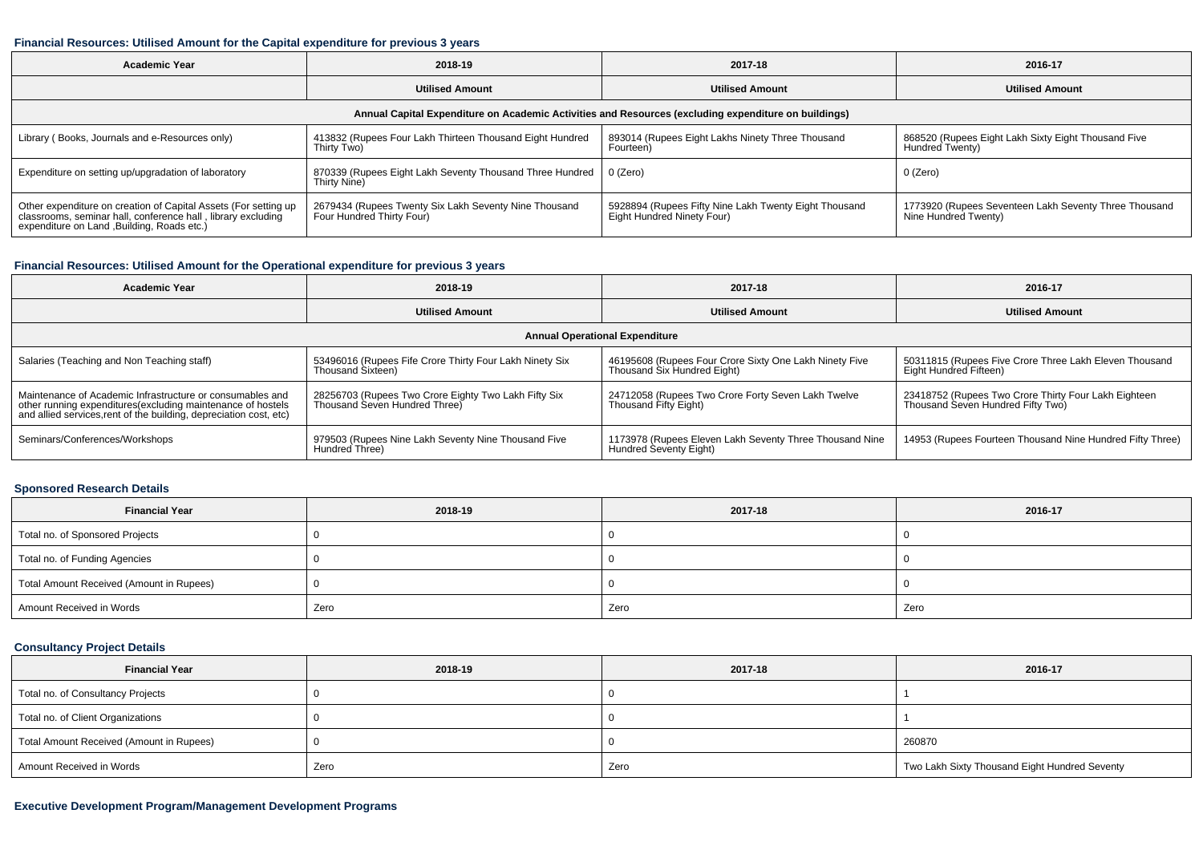#### **Financial Resources: Utilised Amount for the Capital expenditure for previous 3 years**

| <b>Academic Year</b>                                                                                                                                                           | 2018-19                                                                            | 2017-18                                                                             | 2016-17                                                                       |  |  |
|--------------------------------------------------------------------------------------------------------------------------------------------------------------------------------|------------------------------------------------------------------------------------|-------------------------------------------------------------------------------------|-------------------------------------------------------------------------------|--|--|
|                                                                                                                                                                                | <b>Utilised Amount</b>                                                             | <b>Utilised Amount</b>                                                              | <b>Utilised Amount</b>                                                        |  |  |
| Annual Capital Expenditure on Academic Activities and Resources (excluding expenditure on buildings)                                                                           |                                                                                    |                                                                                     |                                                                               |  |  |
| Library (Books, Journals and e-Resources only)                                                                                                                                 | 413832 (Rupees Four Lakh Thirteen Thousand Eight Hundred<br>Thirty Two)            | 893014 (Rupees Eight Lakhs Ninety Three Thousand<br>Fourteen)                       | 868520 (Rupees Eight Lakh Sixty Eight Thousand Five<br>Hundred Twenty)        |  |  |
| Expenditure on setting up/upgradation of laboratory                                                                                                                            | 870339 (Rupees Eight Lakh Seventy Thousand Three Hundred<br>Thirty Nine)           | 0 (Zero)                                                                            | 0 (Zero)                                                                      |  |  |
| Other expenditure on creation of Capital Assets (For setting up<br>classrooms, seminar hall, conference hall, library excluding<br>expenditure on Land , Building, Roads etc.) | 2679434 (Rupees Twenty Six Lakh Seventy Nine Thousand<br>Four Hundred Thirty Four) | 5928894 (Rupees Fifty Nine Lakh Twenty Eight Thousand<br>Eight Hundred Ninety Four) | 1773920 (Rupees Seventeen Lakh Seventy Three Thousand<br>Nine Hundred Twenty) |  |  |

### **Financial Resources: Utilised Amount for the Operational expenditure for previous 3 years**

| <b>Academic Year</b>                                                                                                                                                                           | 2018-19                                                                               | 2017-18                                                                               | 2016-17                                                                                   |  |  |
|------------------------------------------------------------------------------------------------------------------------------------------------------------------------------------------------|---------------------------------------------------------------------------------------|---------------------------------------------------------------------------------------|-------------------------------------------------------------------------------------------|--|--|
|                                                                                                                                                                                                | <b>Utilised Amount</b>                                                                | <b>Utilised Amount</b>                                                                | <b>Utilised Amount</b>                                                                    |  |  |
| <b>Annual Operational Expenditure</b>                                                                                                                                                          |                                                                                       |                                                                                       |                                                                                           |  |  |
| Salaries (Teaching and Non Teaching staff)                                                                                                                                                     | 53496016 (Rupees Fife Crore Thirty Four Lakh Ninety Six<br>Thousand Sixteen)          | 46195608 (Rupees Four Crore Sixty One Lakh Ninety Five<br>Thousand Six Hundred Eight) | 50311815 (Rupees Five Crore Three Lakh Eleven Thousand<br>Eight Hundred Fifteen)          |  |  |
| Maintenance of Academic Infrastructure or consumables and<br>other running expenditures(excluding maintenance of hostels<br>and allied services, rent of the building, depreciation cost, etc) | 28256703 (Rupees Two Crore Eighty Two Lakh Fifty Six<br>Thousand Seven Hundred Three) | 24712058 (Rupees Two Crore Forty Seven Lakh Twelve<br>Thousand Fifty Eight)           | 23418752 (Rupees Two Crore Thirty Four Lakh Eighteen<br>Thousand Seven Hundred Fifty Two) |  |  |
| Seminars/Conferences/Workshops                                                                                                                                                                 | 979503 (Rupees Nine Lakh Seventy Nine Thousand Five<br>Hundred Three)                 | 1173978 (Rupees Eleven Lakh Seventy Three Thousand Nine<br>Hundred Seventy Eight)     | 14953 (Rupees Fourteen Thousand Nine Hundred Fifty Three)                                 |  |  |

### **Sponsored Research Details**

| <b>Financial Year</b>                    | 2018-19 | 2017-18 | 2016-17 |
|------------------------------------------|---------|---------|---------|
| Total no. of Sponsored Projects          |         |         |         |
| Total no. of Funding Agencies            |         |         |         |
| Total Amount Received (Amount in Rupees) |         |         |         |
| Amount Received in Words                 | Zero    | Zero    | Zero    |

## **Consultancy Project Details**

| <b>Financial Year</b>                    | 2018-19 | 2017-18 | 2016-17                                       |
|------------------------------------------|---------|---------|-----------------------------------------------|
| Total no. of Consultancy Projects        |         |         |                                               |
| Total no. of Client Organizations        |         |         |                                               |
| Total Amount Received (Amount in Rupees) |         |         | 260870                                        |
| Amount Received in Words                 | Zero    | Zero    | Two Lakh Sixty Thousand Eight Hundred Seventy |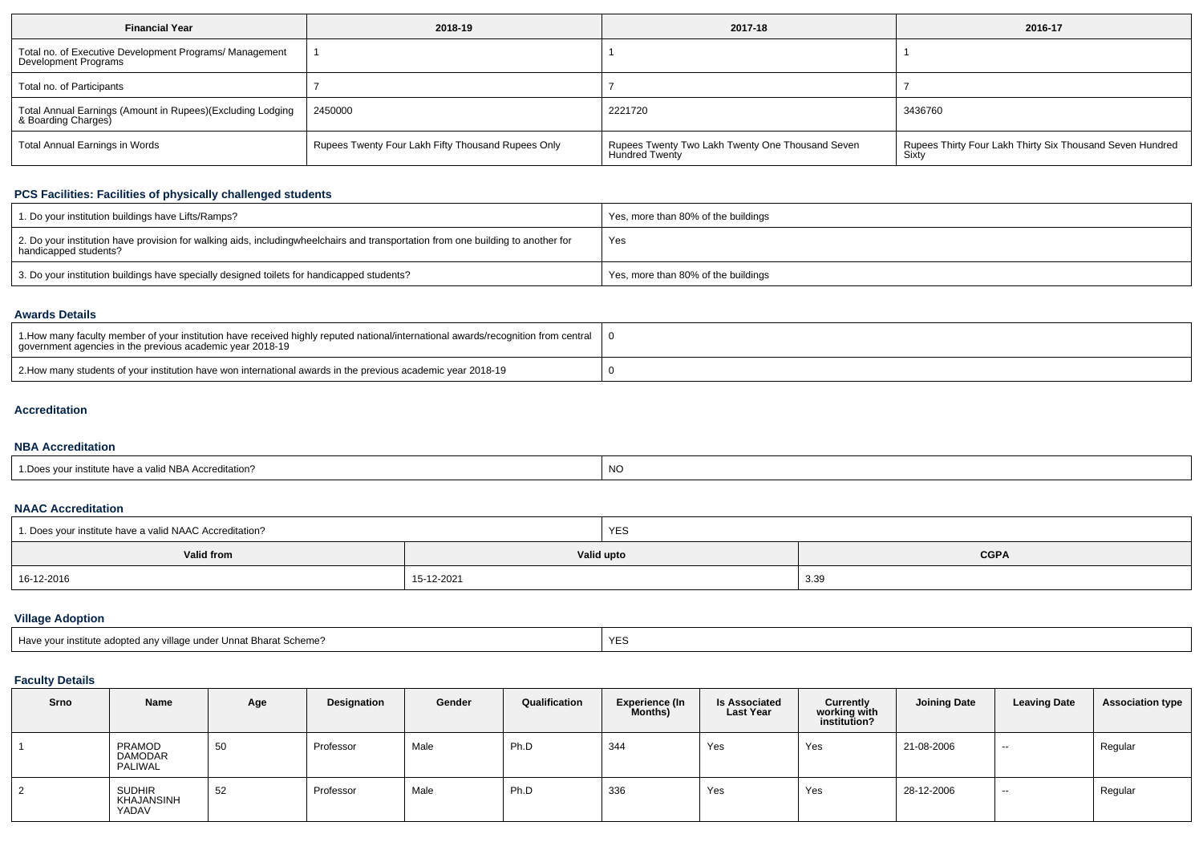| <b>Financial Year</b>                                                             | 2018-19                                            | 2017-18                                                                   | 2016-17                                                            |
|-----------------------------------------------------------------------------------|----------------------------------------------------|---------------------------------------------------------------------------|--------------------------------------------------------------------|
| Total no. of Executive Development Programs/ Management<br>Development Programs   |                                                    |                                                                           |                                                                    |
| Total no. of Participants                                                         |                                                    |                                                                           |                                                                    |
| Total Annual Earnings (Amount in Rupees)(Excluding Lodging<br>& Boarding Charges) | 2450000                                            | 2221720                                                                   | 3436760                                                            |
| <b>Total Annual Earnings in Words</b>                                             | Rupees Twenty Four Lakh Fifty Thousand Rupees Only | Rupees Twenty Two Lakh Twenty One Thousand Seven<br><b>Hundred Twenty</b> | Rupees Thirty Four Lakh Thirty Six Thousand Seven Hundred<br>Sixty |

### **PCS Facilities: Facilities of physically challenged students**

| 1. Do your institution buildings have Lifts/Ramps?                                                                                                        | Yes, more than 80% of the buildings |
|-----------------------------------------------------------------------------------------------------------------------------------------------------------|-------------------------------------|
| 2. Do your institution have provision for walking aids, includingwheelchairs and transportation from one building to another for<br>handicapped students? | Yes                                 |
| 3. Do your institution buildings have specially designed toilets for handicapped students?                                                                | Yes, more than 80% of the buildings |

## **Awards Details**

| 1. 1. How many faculty member of your institution have received highly reputed national/international awards/recognition from central  <br>government agencies in the previous academic year 2018-19 |  |
|------------------------------------------------------------------------------------------------------------------------------------------------------------------------------------------------------|--|
| 2. How many students of your institution have won international awards in the previous academic year 2018-19                                                                                         |  |

#### **Accreditation**

## **NBA Accreditation**

| r institute have a valid NBA Accreditation? | NO |
|---------------------------------------------|----|
|---------------------------------------------|----|

### **NAAC Accreditation**

| 1. Does your institute have a valid NAAC Accreditation? | <b>YES</b> |  |             |  |  |  |
|---------------------------------------------------------|------------|--|-------------|--|--|--|
| Valid from                                              | Valid upto |  | <b>CGPA</b> |  |  |  |
| 16-12-2016                                              | 15-12-2021 |  | 3.39        |  |  |  |

## **Village Adoption**

| Have your institute adopted any village under Unnat Bharat Scheme? | <b>VES</b> |
|--------------------------------------------------------------------|------------|
|--------------------------------------------------------------------|------------|

# **Faculty Details**

| Srno | <b>Name</b>                          | Age | Designation | Gender | Qualification | <b>Experience (In</b><br>Months) | <b>Is Associated</b><br><b>Last Year</b> | <b>Currently</b><br>working with<br>institution? | <b>Joining Date</b> | <b>Leaving Date</b> | <b>Association type</b> |
|------|--------------------------------------|-----|-------------|--------|---------------|----------------------------------|------------------------------------------|--------------------------------------------------|---------------------|---------------------|-------------------------|
|      | PRAMOD<br><b>DAMODAR</b><br>PALIWAL  | 50  | Professor   | Male   | Ph.D          | 344                              | Yes                                      | Yes                                              | 21-08-2006          | $\sim$              | Regular                 |
|      | <b>SUDHIR</b><br>KHAJANSINH<br>YADAV | 52  | Professor   | Male   | Ph.D          | 336                              | Yes                                      | Yes                                              | 28-12-2006          | $\sim$              | Regular                 |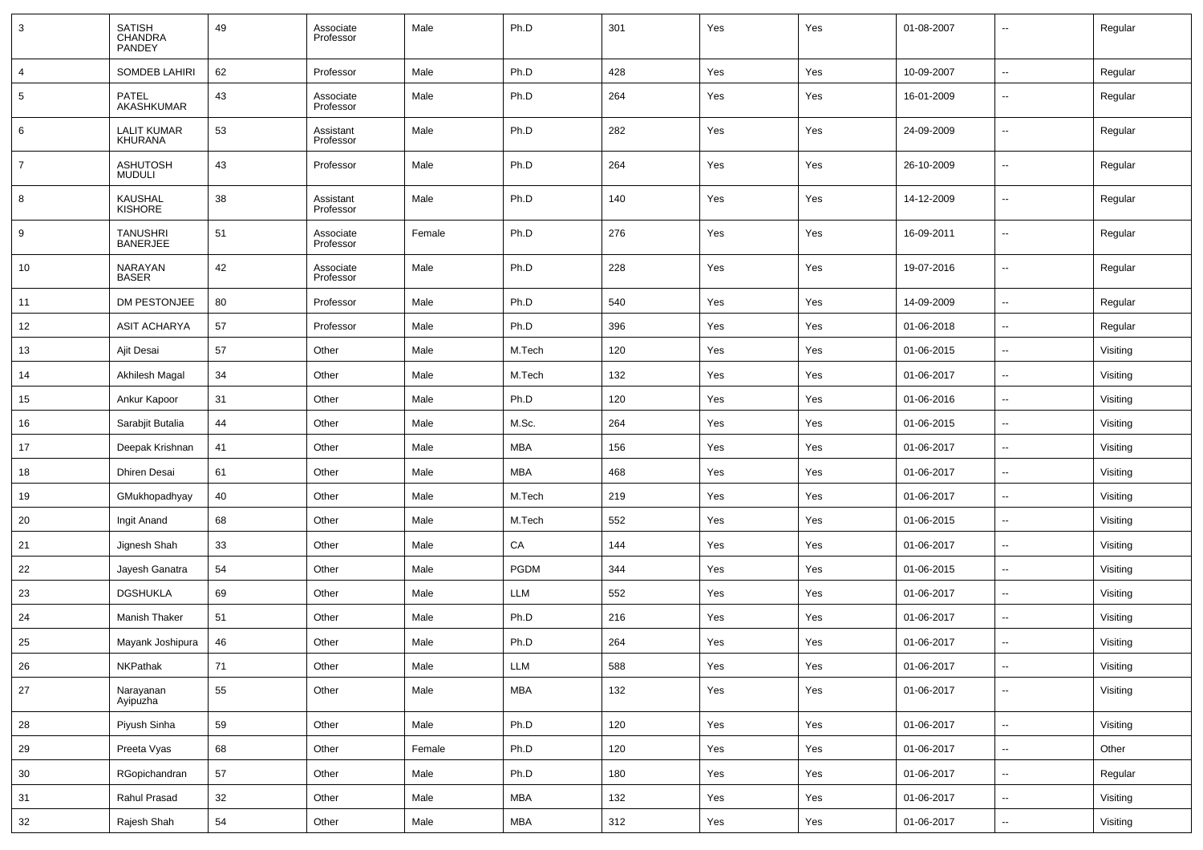| 3              | <b>SATISH</b><br>CHANDRA<br>PANDEY | 49 | Associate<br>Professor | Male   | Ph.D                        | 301 | Yes | Yes | 01-08-2007 | $\overline{\phantom{a}}$ | Regular  |
|----------------|------------------------------------|----|------------------------|--------|-----------------------------|-----|-----|-----|------------|--------------------------|----------|
| $\overline{4}$ | <b>SOMDEB LAHIRI</b>               | 62 | Professor              | Male   | Ph.D                        | 428 | Yes | Yes | 10-09-2007 | $\sim$                   | Regular  |
| 5              | <b>PATEL</b><br><b>AKASHKUMAR</b>  | 43 | Associate<br>Professor | Male   | Ph.D                        | 264 | Yes | Yes | 16-01-2009 | $\overline{\phantom{a}}$ | Regular  |
| 6              | <b>LALIT KUMAR</b><br>KHURANA      | 53 | Assistant<br>Professor | Male   | Ph.D                        | 282 | Yes | Yes | 24-09-2009 | $\overline{\phantom{a}}$ | Regular  |
| $\overline{7}$ | <b>ASHUTOSH</b><br><b>MUDULI</b>   | 43 | Professor              | Male   | Ph.D                        | 264 | Yes | Yes | 26-10-2009 | $\overline{\phantom{a}}$ | Regular  |
| 8              | <b>KAUSHAL</b><br><b>KISHORE</b>   | 38 | Assistant<br>Professor | Male   | Ph.D                        | 140 | Yes | Yes | 14-12-2009 | $\overline{\phantom{a}}$ | Regular  |
| 9              | <b>TANUSHRI</b><br><b>BANERJEE</b> | 51 | Associate<br>Professor | Female | Ph.D                        | 276 | Yes | Yes | 16-09-2011 | $\overline{\phantom{a}}$ | Regular  |
| 10             | NARAYAN<br><b>BASER</b>            | 42 | Associate<br>Professor | Male   | Ph.D                        | 228 | Yes | Yes | 19-07-2016 | $\overline{\phantom{a}}$ | Regular  |
| 11             | DM PESTONJEE                       | 80 | Professor              | Male   | Ph.D                        | 540 | Yes | Yes | 14-09-2009 | $\sim$                   | Regular  |
| 12             | <b>ASIT ACHARYA</b>                | 57 | Professor              | Male   | Ph.D                        | 396 | Yes | Yes | 01-06-2018 | --                       | Regular  |
| 13             | Ajit Desai                         | 57 | Other                  | Male   | M.Tech                      | 120 | Yes | Yes | 01-06-2015 | $\sim$                   | Visiting |
| 14             | Akhilesh Magal                     | 34 | Other                  | Male   | M.Tech                      | 132 | Yes | Yes | 01-06-2017 | $\overline{\phantom{a}}$ | Visiting |
| 15             | Ankur Kapoor                       | 31 | Other                  | Male   | Ph.D                        | 120 | Yes | Yes | 01-06-2016 | $\sim$                   | Visiting |
| 16             | Sarabjit Butalia                   | 44 | Other                  | Male   | M.Sc.                       | 264 | Yes | Yes | 01-06-2015 | $\sim$                   | Visiting |
| 17             | Deepak Krishnan                    | 41 | Other                  | Male   | MBA                         | 156 | Yes | Yes | 01-06-2017 | $\sim$                   | Visiting |
| 18             | Dhiren Desai                       | 61 | Other                  | Male   | MBA                         | 468 | Yes | Yes | 01-06-2017 | --                       | Visiting |
| 19             | GMukhopadhyay                      | 40 | Other                  | Male   | M.Tech                      | 219 | Yes | Yes | 01-06-2017 | $\sim$                   | Visiting |
| 20             | Ingit Anand                        | 68 | Other                  | Male   | M.Tech                      | 552 | Yes | Yes | 01-06-2015 | н,                       | Visiting |
| 21             | Jignesh Shah                       | 33 | Other                  | Male   | CA                          | 144 | Yes | Yes | 01-06-2017 | $\sim$                   | Visiting |
| 22             | Jayesh Ganatra                     | 54 | Other                  | Male   | <b>PGDM</b>                 | 344 | Yes | Yes | 01-06-2015 | $\overline{\phantom{a}}$ | Visiting |
| 23             | <b>DGSHUKLA</b>                    | 69 | Other                  | Male   | LLM                         | 552 | Yes | Yes | 01-06-2017 | $\sim$                   | Visiting |
| 24             | <b>Manish Thaker</b>               | 51 | Other                  | Male   | Ph.D                        | 216 | Yes | Yes | 01-06-2017 | $\sim$                   | Visiting |
| 25             | Mayank Joshipura                   | 46 | Other                  | Male   | Ph.D                        | 264 | Yes | Yes | 01-06-2017 | $\overline{\phantom{a}}$ | Visiting |
| $26\,$         | NKPathak                           | 71 | Other                  | Male   | $\ensuremath{\mathsf{LLM}}$ | 588 | Yes | Yes | 01-06-2017 | $\ddotsc$                | Visiting |
| $27\,$         | Narayanan<br>Ayipuzha              | 55 | Other                  | Male   | <b>MBA</b>                  | 132 | Yes | Yes | 01-06-2017 | $\sim$                   | Visiting |
| 28             | Piyush Sinha                       | 59 | Other                  | Male   | Ph.D                        | 120 | Yes | Yes | 01-06-2017 | $\overline{\phantom{a}}$ | Visiting |
| 29             | Preeta Vyas                        | 68 | Other                  | Female | Ph.D                        | 120 | Yes | Yes | 01-06-2017 | $\overline{\phantom{a}}$ | Other    |
| 30             | RGopichandran                      | 57 | Other                  | Male   | Ph.D                        | 180 | Yes | Yes | 01-06-2017 | $\overline{\phantom{a}}$ | Regular  |
| 31             | Rahul Prasad                       | 32 | Other                  | Male   | <b>MBA</b>                  | 132 | Yes | Yes | 01-06-2017 | $\sim$                   | Visiting |
| 32             | Rajesh Shah                        | 54 | Other                  | Male   | <b>MBA</b>                  | 312 | Yes | Yes | 01-06-2017 | $\overline{\phantom{a}}$ | Visiting |